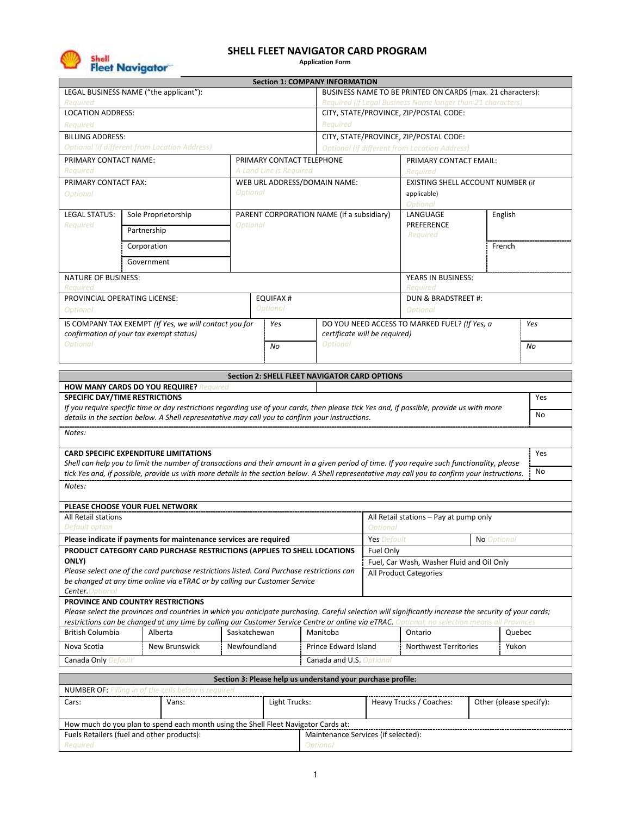

# **SHELL FLEET NAVIGATOR CARD PROGRAM**

 **Application Form**

|                                                                                                                                                                |                                                                                                                                                         |                 |                                                            | <b>Section 1: COMPANY INFORMATION</b>         |                                                             |                                                      |             |        |     |
|----------------------------------------------------------------------------------------------------------------------------------------------------------------|---------------------------------------------------------------------------------------------------------------------------------------------------------|-----------------|------------------------------------------------------------|-----------------------------------------------|-------------------------------------------------------------|------------------------------------------------------|-------------|--------|-----|
| LEGAL BUSINESS NAME ("the applicant"):                                                                                                                         |                                                                                                                                                         |                 | BUSINESS NAME TO BE PRINTED ON CARDS (max. 21 characters): |                                               |                                                             |                                                      |             |        |     |
| Required                                                                                                                                                       |                                                                                                                                                         |                 |                                                            |                                               | Required (if Legal Business Name longer than 21 characters) |                                                      |             |        |     |
| <b>LOCATION ADDRESS:</b>                                                                                                                                       |                                                                                                                                                         |                 |                                                            |                                               | CITY, STATE/PROVINCE, ZIP/POSTAL CODE:                      |                                                      |             |        |     |
| Required                                                                                                                                                       |                                                                                                                                                         |                 |                                                            | Required                                      |                                                             |                                                      |             |        |     |
| <b>BILLING ADDRESS:</b>                                                                                                                                        |                                                                                                                                                         |                 |                                                            |                                               |                                                             | CITY, STATE/PROVINCE, ZIP/POSTAL CODE:               |             |        |     |
|                                                                                                                                                                | <b>Optional (if different from Location Address)</b>                                                                                                    |                 |                                                            |                                               |                                                             | <b>Optional (if different from Location Address)</b> |             |        |     |
| PRIMARY CONTACT NAME:                                                                                                                                          |                                                                                                                                                         |                 | PRIMARY CONTACT TELEPHONE                                  |                                               |                                                             | PRIMARY CONTACT EMAIL:                               |             |        |     |
| Required                                                                                                                                                       |                                                                                                                                                         |                 | A Land Line is Required                                    |                                               |                                                             | Reauired                                             |             |        |     |
| PRIMARY CONTACT FAX:                                                                                                                                           |                                                                                                                                                         |                 |                                                            | WEB URL ADDRESS/DOMAIN NAME:                  |                                                             | EXISTING SHELL ACCOUNT NUMBER (if                    |             |        |     |
| <b>Optional</b>                                                                                                                                                |                                                                                                                                                         |                 | <b>Optional</b>                                            |                                               |                                                             | applicable)                                          |             |        |     |
|                                                                                                                                                                |                                                                                                                                                         |                 |                                                            |                                               |                                                             | <b>Optional</b>                                      |             |        |     |
| <b>LEGAL STATUS:</b>                                                                                                                                           | Sole Proprietorship                                                                                                                                     |                 |                                                            | PARENT CORPORATION NAME (if a subsidiary)     |                                                             | LANGUAGE<br>English                                  |             |        |     |
| Required                                                                                                                                                       | Partnership                                                                                                                                             | <b>Optional</b> |                                                            |                                               |                                                             | PREFERENCE                                           |             |        |     |
|                                                                                                                                                                |                                                                                                                                                         |                 |                                                            |                                               |                                                             | Required                                             |             |        |     |
|                                                                                                                                                                | Corporation                                                                                                                                             |                 |                                                            |                                               |                                                             |                                                      |             | French |     |
|                                                                                                                                                                | Government                                                                                                                                              |                 |                                                            |                                               |                                                             |                                                      |             |        |     |
| NATURE OF BUSINESS:                                                                                                                                            |                                                                                                                                                         |                 |                                                            |                                               |                                                             | YEARS IN BUSINESS:                                   |             |        |     |
| Reauired                                                                                                                                                       |                                                                                                                                                         |                 |                                                            |                                               |                                                             | Required                                             |             |        |     |
|                                                                                                                                                                | PROVINCIAL OPERATING LICENSE:                                                                                                                           |                 | <b>EQUIFAX#</b>                                            |                                               |                                                             | DUN & BRADSTREET #:                                  |             |        |     |
| <b>Optional</b>                                                                                                                                                |                                                                                                                                                         |                 | <b>Optional</b>                                            |                                               |                                                             | <b>Optional</b>                                      |             |        |     |
|                                                                                                                                                                | IS COMPANY TAX EXEMPT (If Yes, we will contact you for                                                                                                  |                 | Yes                                                        |                                               |                                                             | DO YOU NEED ACCESS TO MARKED FUEL? (If Yes, a        |             |        | Yes |
|                                                                                                                                                                | confirmation of your tax exempt status)                                                                                                                 |                 |                                                            | certificate will be required)                 |                                                             |                                                      |             |        |     |
| <b>Optional</b>                                                                                                                                                |                                                                                                                                                         |                 | No                                                         | <b>Optional</b>                               |                                                             |                                                      |             |        | No  |
|                                                                                                                                                                |                                                                                                                                                         |                 |                                                            |                                               |                                                             |                                                      |             |        |     |
|                                                                                                                                                                |                                                                                                                                                         |                 |                                                            | Section 2: SHELL FLEET NAVIGATOR CARD OPTIONS |                                                             |                                                      |             |        |     |
|                                                                                                                                                                | <b>HOW MANY CARDS DO YOU REQUIRE?</b> Required                                                                                                          |                 |                                                            |                                               |                                                             |                                                      |             |        |     |
|                                                                                                                                                                |                                                                                                                                                         |                 |                                                            |                                               |                                                             |                                                      |             |        |     |
|                                                                                                                                                                | SPECIFIC DAY/TIME RESTRICTIONS                                                                                                                          |                 |                                                            |                                               |                                                             |                                                      |             |        | Yes |
|                                                                                                                                                                | If you require specific time or day restrictions regarding use of your cards, then please tick Yes and, if possible, provide us with more               |                 |                                                            |                                               |                                                             |                                                      |             |        |     |
|                                                                                                                                                                | details in the section below. A Shell representative may call you to confirm your instructions.                                                         |                 |                                                            |                                               |                                                             |                                                      |             |        | No  |
|                                                                                                                                                                |                                                                                                                                                         |                 |                                                            |                                               |                                                             |                                                      |             |        |     |
|                                                                                                                                                                |                                                                                                                                                         |                 |                                                            |                                               |                                                             |                                                      |             |        |     |
|                                                                                                                                                                | <b>CARD SPECIFIC EXPENDITURE LIMITATIONS</b>                                                                                                            |                 |                                                            |                                               |                                                             |                                                      |             |        | Yes |
|                                                                                                                                                                | Shell can help you to limit the number of transactions and their amount in a given period of time. If you require such functionality, please            |                 |                                                            |                                               |                                                             |                                                      |             |        | No  |
|                                                                                                                                                                | tick Yes and, if possible, provide us with more details in the section below. A Shell representative may call you to confirm your instructions.         |                 |                                                            |                                               |                                                             |                                                      |             |        |     |
|                                                                                                                                                                |                                                                                                                                                         |                 |                                                            |                                               |                                                             |                                                      |             |        |     |
|                                                                                                                                                                | PLEASE CHOOSE YOUR FUEL NETWORK                                                                                                                         |                 |                                                            |                                               |                                                             |                                                      |             |        |     |
|                                                                                                                                                                |                                                                                                                                                         |                 |                                                            |                                               |                                                             | All Retail stations - Pay at pump only               |             |        |     |
|                                                                                                                                                                |                                                                                                                                                         |                 |                                                            |                                               | <b>Optional</b>                                             |                                                      |             |        |     |
|                                                                                                                                                                | Please indicate if payments for maintenance services are required                                                                                       |                 |                                                            |                                               | <b>Yes</b> Default                                          |                                                      | No Optional |        |     |
|                                                                                                                                                                | PRODUCT CATEGORY CARD PURCHASE RESTRICTIONS (APPLIES TO SHELL LOCATIONS                                                                                 |                 |                                                            |                                               | Fuel Only                                                   |                                                      |             |        |     |
|                                                                                                                                                                |                                                                                                                                                         |                 |                                                            |                                               |                                                             | Fuel, Car Wash, Washer Fluid and Oil Only            |             |        |     |
|                                                                                                                                                                | Please select one of the card purchase restrictions listed. Card Purchase restrictions can                                                              |                 |                                                            |                                               |                                                             | <b>All Product Categories</b>                        |             |        |     |
|                                                                                                                                                                | be changed at any time online via eTRAC or by calling our Customer Service                                                                              |                 |                                                            |                                               |                                                             |                                                      |             |        |     |
|                                                                                                                                                                |                                                                                                                                                         |                 |                                                            |                                               |                                                             |                                                      |             |        |     |
|                                                                                                                                                                | PROVINCE AND COUNTRY RESTRICTIONS                                                                                                                       |                 |                                                            |                                               |                                                             |                                                      |             |        |     |
|                                                                                                                                                                | Please select the provinces and countries in which you anticipate purchasing. Careful selection will significantly increase the security of your cards; |                 |                                                            |                                               |                                                             |                                                      |             |        |     |
|                                                                                                                                                                | restrictions can be changed at any time by calling our Customer Service Centre or online via eTRAC. Optional, no selection means all Provinces          |                 |                                                            |                                               |                                                             |                                                      |             |        |     |
|                                                                                                                                                                | Alberta                                                                                                                                                 | Saskatchewan    |                                                            | Manitoba                                      |                                                             | Ontario                                              |             | Quebec |     |
|                                                                                                                                                                | New Brunswick                                                                                                                                           | Newfoundland    |                                                            | Prince Edward Island                          |                                                             | Northwest Territories                                |             | Yukon  |     |
| Notes:<br>Notes:<br>All Retail stations<br>Default option<br>ONLY)<br><b>Center.</b> Optional<br>British Columbia<br>Nova Scotia<br><b>Canada Only Default</b> |                                                                                                                                                         |                 |                                                            | Canada and U.S. Optional                      |                                                             |                                                      |             |        |     |

| <b>NUMBER OF:</b> Filling in of the cells below is required                        |       |               |                                     |                         |                         |  |
|------------------------------------------------------------------------------------|-------|---------------|-------------------------------------|-------------------------|-------------------------|--|
| Cars:                                                                              | Vans: | Light Trucks: |                                     | Heavy Trucks / Coaches: | Other (please specify): |  |
|                                                                                    |       |               |                                     |                         |                         |  |
| How much do you plan to spend each month using the Shell Fleet Navigator Cards at: |       |               |                                     |                         |                         |  |
| Fuels Retailers (fuel and other products):                                         |       |               | Maintenance Services (if selected): |                         |                         |  |
| Required                                                                           |       | Optional      |                                     |                         |                         |  |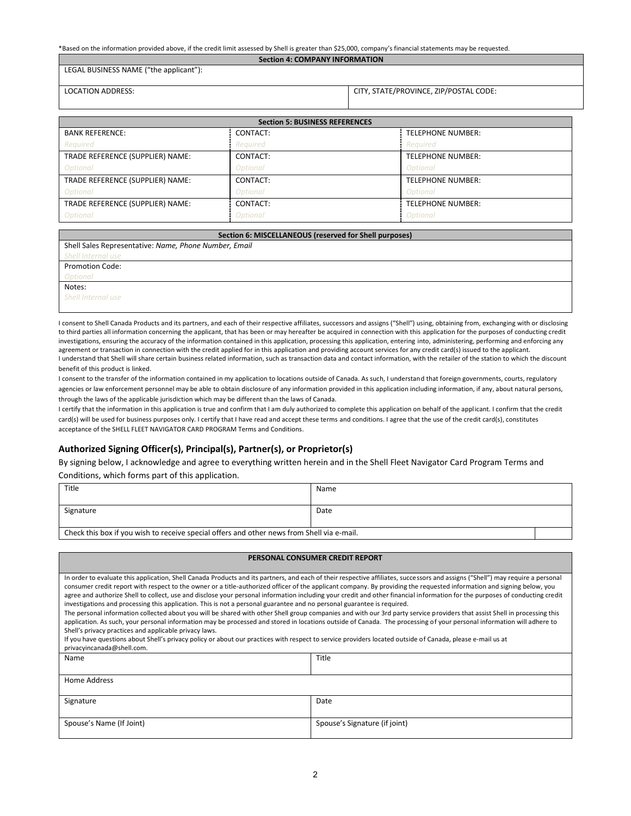| *Based on the information provided above, if the credit limit assessed by Shell is greater than \$25,000, company's financial statements may be requested. |  |  |  |  |
|------------------------------------------------------------------------------------------------------------------------------------------------------------|--|--|--|--|
|------------------------------------------------------------------------------------------------------------------------------------------------------------|--|--|--|--|

**Section 4: COMPANY INFORMATION**

LEGAL BUSINESS NAME ("the applicant"):

| <b>LOCATION ADDRESS:</b> |  |  |
|--------------------------|--|--|

CITY, STATE/PROVINCE, ZIP/POSTAL CODE:

| <b>Section 5: BUSINESS REFERENCES</b> |                 |                          |  |  |
|---------------------------------------|-----------------|--------------------------|--|--|
| <b>BANK REFERENCE:</b>                | CONTACT:        | <b>TELEPHONE NUMBER:</b> |  |  |
| Required                              | Required        | Required                 |  |  |
| TRADE REFERENCE (SUPPLIER) NAME:      | CONTACT:        | <b>TELEPHONE NUMBER:</b> |  |  |
| Optional                              | Optional        | Optional                 |  |  |
| TRADE REFERENCE (SUPPLIER) NAME:      | CONTACT:        | <b>TELEPHONE NUMBER:</b> |  |  |
| Optional                              | <b>Optional</b> | <b>Optional</b>          |  |  |
| TRADE REFERENCE (SUPPLIER) NAME:      | CONTACT:        | <b>TELEPHONE NUMBER:</b> |  |  |
| <b>Optional</b>                       | <b>Optional</b> | <b>Optional</b>          |  |  |

| Section 6: MISCELLANEOUS (reserved for Shell purposes) |  |  |
|--------------------------------------------------------|--|--|
| Shell Sales Representative: Name, Phone Number, Email  |  |  |
| <b>Shell Internal use</b>                              |  |  |
| <b>Promotion Code:</b>                                 |  |  |
| <b>Optional</b>                                        |  |  |
| Notes:                                                 |  |  |
| <b>Shell Internal use</b>                              |  |  |
|                                                        |  |  |

I consent to Shell Canada Products and its partners, and each of their respective affiliates, successors and assigns ("Shell") using, obtaining from, exchanging with or disclosing to third parties all information concerning the applicant, that has been or may hereafter be acquired in connection with this application for the purposes of conducting credit investigations, ensuring the accuracy of the information contained in this application, processing this application, entering into, administering, performing and enforcing any agreement or transaction in connection with the credit applied for in this application and providing account services for any credit card(s) issued to the applicant. I understand that Shell will share certain business related information, such as transaction data and contact information, with the retailer of the station to which the discount benefit of this product is linked.

I consent to the transfer of the information contained in my application to locations outside of Canada. As such, I understand that foreign governments, courts, regulatory agencies or law enforcement personnel may be able to obtain disclosure of any information provided in this application including information, if any, about natural persons, through the laws of the applicable jurisdiction which may be different than the laws of Canada.

I certify that the information in this application is true and confirm that I am duly authorized to complete this application on behalf of the applicant. I confirm that the credit card(s) will be used for business purposes only. I certify that I have read and accept these terms and conditions. I agree that the use of the credit card(s), constitutes acceptance of the SHELL FLEET NAVIGATOR CARD PROGRAM Terms and Conditions.

## **Authorized Signing Officer(s), Principal(s), Partner(s), or Proprietor(s)**

By signing below, I acknowledge and agree to everything written herein and in the Shell Fleet Navigator Card Program Terms and

Conditions, which forms part of this application.

| Title                                                                                      | Name |  |
|--------------------------------------------------------------------------------------------|------|--|
|                                                                                            |      |  |
| Signature                                                                                  | Date |  |
|                                                                                            |      |  |
| Check this box if you wish to receive special offers and other news from Shell via e-mail. |      |  |

### **PERSONAL CONSUMER CREDIT REPORT**

| In order to evaluate this application, Shell Canada Products and its partners, and each of their respective affiliates, successors and assigns ("Shell") may require a personal<br>consumer credit report with respect to the owner or a title-authorized officer of the applicant company. By providing the requested information and signing below, you<br>agree and authorize Shell to collect, use and disclose your personal information including your credit and other financial information for the purposes of conducting credit<br>investigations and processing this application. This is not a personal guarantee and no personal guarantee is required.<br>The personal information collected about you will be shared with other Shell group companies and with our 3rd party service providers that assist Shell in processing this<br>application. As such, your personal information may be processed and stored in locations outside of Canada. The processing of your personal information will adhere to<br>Shell's privacy practices and applicable privacy laws.<br>If you have questions about Shell's privacy policy or about our practices with respect to service providers located outside of Canada, please e-mail us at<br>privacyincanada@shell.com.<br>Name<br>Title<br>Home Address<br>Date<br>Signature<br>Spouse's Name (If Joint)<br>Spouse's Signature (if joint) |  |  |  |  |  |
|-------------------------------------------------------------------------------------------------------------------------------------------------------------------------------------------------------------------------------------------------------------------------------------------------------------------------------------------------------------------------------------------------------------------------------------------------------------------------------------------------------------------------------------------------------------------------------------------------------------------------------------------------------------------------------------------------------------------------------------------------------------------------------------------------------------------------------------------------------------------------------------------------------------------------------------------------------------------------------------------------------------------------------------------------------------------------------------------------------------------------------------------------------------------------------------------------------------------------------------------------------------------------------------------------------------------------------------------------------------------------------------------------------|--|--|--|--|--|
|                                                                                                                                                                                                                                                                                                                                                                                                                                                                                                                                                                                                                                                                                                                                                                                                                                                                                                                                                                                                                                                                                                                                                                                                                                                                                                                                                                                                       |  |  |  |  |  |
|                                                                                                                                                                                                                                                                                                                                                                                                                                                                                                                                                                                                                                                                                                                                                                                                                                                                                                                                                                                                                                                                                                                                                                                                                                                                                                                                                                                                       |  |  |  |  |  |
|                                                                                                                                                                                                                                                                                                                                                                                                                                                                                                                                                                                                                                                                                                                                                                                                                                                                                                                                                                                                                                                                                                                                                                                                                                                                                                                                                                                                       |  |  |  |  |  |
|                                                                                                                                                                                                                                                                                                                                                                                                                                                                                                                                                                                                                                                                                                                                                                                                                                                                                                                                                                                                                                                                                                                                                                                                                                                                                                                                                                                                       |  |  |  |  |  |
|                                                                                                                                                                                                                                                                                                                                                                                                                                                                                                                                                                                                                                                                                                                                                                                                                                                                                                                                                                                                                                                                                                                                                                                                                                                                                                                                                                                                       |  |  |  |  |  |
|                                                                                                                                                                                                                                                                                                                                                                                                                                                                                                                                                                                                                                                                                                                                                                                                                                                                                                                                                                                                                                                                                                                                                                                                                                                                                                                                                                                                       |  |  |  |  |  |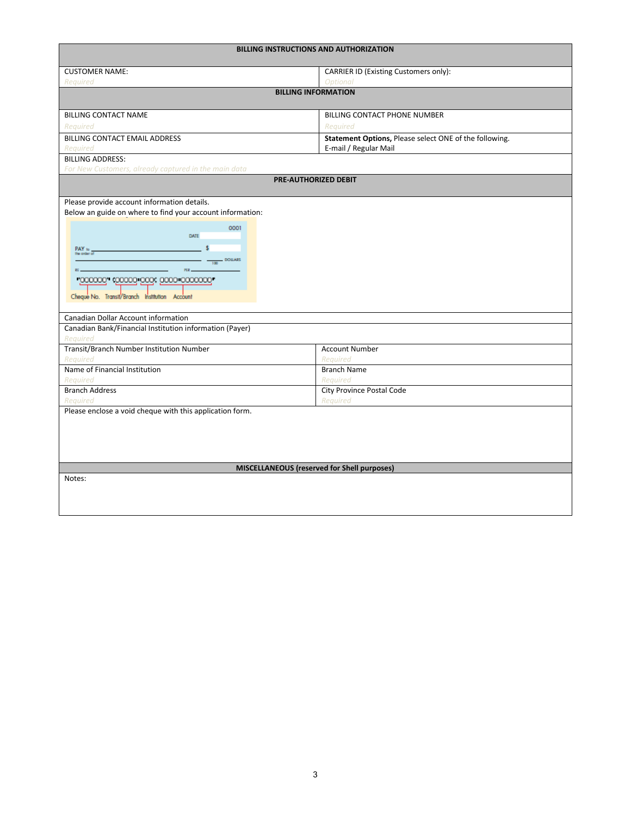| <b>BILLING INSTRUCTIONS AND AUTHORIZATION</b>                                                                                                                                                                                                                                                                                                                          |                                                        |  |  |  |
|------------------------------------------------------------------------------------------------------------------------------------------------------------------------------------------------------------------------------------------------------------------------------------------------------------------------------------------------------------------------|--------------------------------------------------------|--|--|--|
| <b>CUSTOMER NAME:</b>                                                                                                                                                                                                                                                                                                                                                  | <b>CARRIER ID (Existing Customers only):</b>           |  |  |  |
| Required                                                                                                                                                                                                                                                                                                                                                               | <b>Optional</b>                                        |  |  |  |
|                                                                                                                                                                                                                                                                                                                                                                        | <b>BILLING INFORMATION</b>                             |  |  |  |
| <b>BILLING CONTACT NAME</b>                                                                                                                                                                                                                                                                                                                                            | BILLING CONTACT PHONE NUMBER                           |  |  |  |
| Reauired                                                                                                                                                                                                                                                                                                                                                               | Required                                               |  |  |  |
| BILLING CONTACT EMAIL ADDRESS                                                                                                                                                                                                                                                                                                                                          | Statement Options, Please select ONE of the following. |  |  |  |
| Reauired                                                                                                                                                                                                                                                                                                                                                               | E-mail / Regular Mail                                  |  |  |  |
| <b>BILLING ADDRESS:</b>                                                                                                                                                                                                                                                                                                                                                |                                                        |  |  |  |
| For New Customers, already captured in the main data                                                                                                                                                                                                                                                                                                                   | <b>PRE-AUTHORIZED DEBIT</b>                            |  |  |  |
|                                                                                                                                                                                                                                                                                                                                                                        |                                                        |  |  |  |
| Please provide account information details.<br>Below an guide on where to find your account information:<br>0001<br>DATE<br>PAY to __<br>DOILARS<br>$-100$<br>PER<br>"000000" (00000 0000 0000 0000000"<br>Cheque No. Transit/Branch Institution Account<br>Canadian Dollar Account information<br>Canadian Bank/Financial Institution information (Payer)<br>Required |                                                        |  |  |  |
| Transit/Branch Number Institution Number                                                                                                                                                                                                                                                                                                                               | <b>Account Number</b>                                  |  |  |  |
| Required                                                                                                                                                                                                                                                                                                                                                               | Required                                               |  |  |  |
| Name of Financial Institution                                                                                                                                                                                                                                                                                                                                          | <b>Branch Name</b>                                     |  |  |  |
| Required<br><b>Branch Address</b>                                                                                                                                                                                                                                                                                                                                      | Required<br><b>City Province Postal Code</b>           |  |  |  |
| Required                                                                                                                                                                                                                                                                                                                                                               | Required                                               |  |  |  |
| Please enclose a void cheque with this application form.                                                                                                                                                                                                                                                                                                               |                                                        |  |  |  |
|                                                                                                                                                                                                                                                                                                                                                                        | MISCELLANEOUS (reserved for Shell purposes)            |  |  |  |
| Notes:                                                                                                                                                                                                                                                                                                                                                                 |                                                        |  |  |  |
|                                                                                                                                                                                                                                                                                                                                                                        |                                                        |  |  |  |